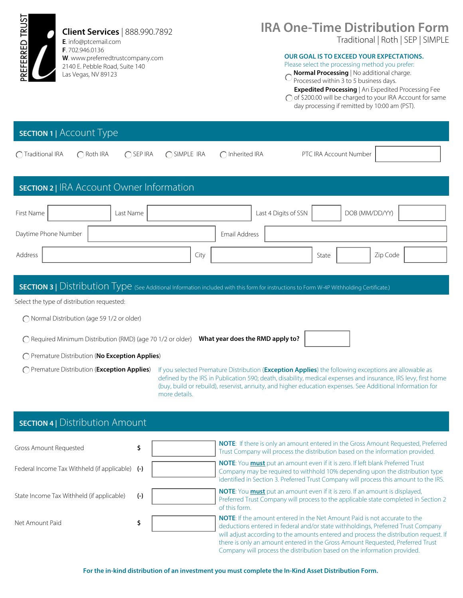

Net Amount Paid **\$** 

deductions entered in federal and/or state withholdings, Preferred Trust Company will adjust according to the amounts entered and process the distribution request. If there is only an amount entered in the Gross Amount Requested, Preferred Trust Company will process the distribution based on the information provided.

**For the in-kind distribution of an investment you must complete the In-Kind Asset Distribution Form.**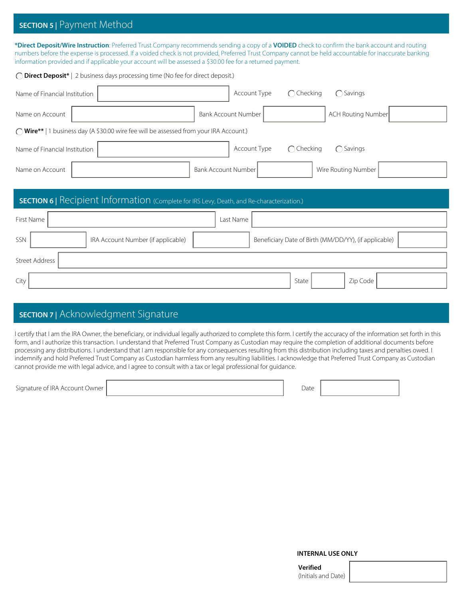## **SECTION 5 |** Payment Method

**\*Direct Deposit/Wire Instruction**: Preferred Trust Company recommends sending a copy of a **VOIDED** check to confirm the bank account and routing numbers before the expense is processed. If a voided check is not provided, Preferred Trust Company cannot be held accountable for inaccurate banking information provided and if applicable your account will be assessed a \$30.00 fee for a returned payment.

| ◯ Direct Deposit*   2 business days processing time (No fee for direct deposit.)                  |                                                          |
|---------------------------------------------------------------------------------------------------|----------------------------------------------------------|
| Name of Financial Institution                                                                     | $\bigcap$ Checking<br>Account Type<br>$\bigcirc$ Savings |
| Name on Account                                                                                   | <b>ACH Routing Number</b><br><b>Bank Account Number</b>  |
| ◯ Wire**   1 business day (A \$30.00 wire fee will be assessed from your IRA Account.)            |                                                          |
| Name of Financial Institution                                                                     | Account Type<br>$\bigcap$ Checking<br>$\bigcap$ Savings  |
| Name on Account                                                                                   | Bank Account Number<br>Wire Routing Number               |
|                                                                                                   |                                                          |
| <b>SECTION 6</b>   Recipient Information (Complete for IRS Levy, Death, and Re-characterization.) |                                                          |
| First Name                                                                                        | Last Name                                                |
| SSN<br>IRA Account Number (if applicable)                                                         | Beneficiary Date of Birth (MM/DD/YY), (if applicable)    |
| <b>Street Address</b>                                                                             |                                                          |
| City                                                                                              | Zip Code<br>State                                        |
|                                                                                                   |                                                          |

## **SECTION 7 |** Acknowledgment Signature

I certify that I am the IRA Owner, the beneficiary, or individual legally authorized to complete this form. I certify the accuracy of the information set forth in this form, and I authorize this transaction. I understand that Preferred Trust Company as Custodian may require the completion of additional documents before processing any distributions. I understand that I am responsible for any consequences resulting from this distribution including taxes and penalties owed. I indemnify and hold Preferred Trust Company as Custodian harmless from any resulting liabilities. I acknowledge that Preferred Trust Company as Custodian cannot provide me with legal advice, and I agree to consult with a tax or legal professional for guidance.

Signature of IRA Account Owner | Date | Date | Date | Date | Date | Date | Date | Date | Date | Date | Date | Date | Date | Date | Date | Date | Date | Date | Date | Date | Date | Date | Date | Date | Date | Date | Date |

**INTERNAL USE ONLY**

**Verified**  (Initials and Date)